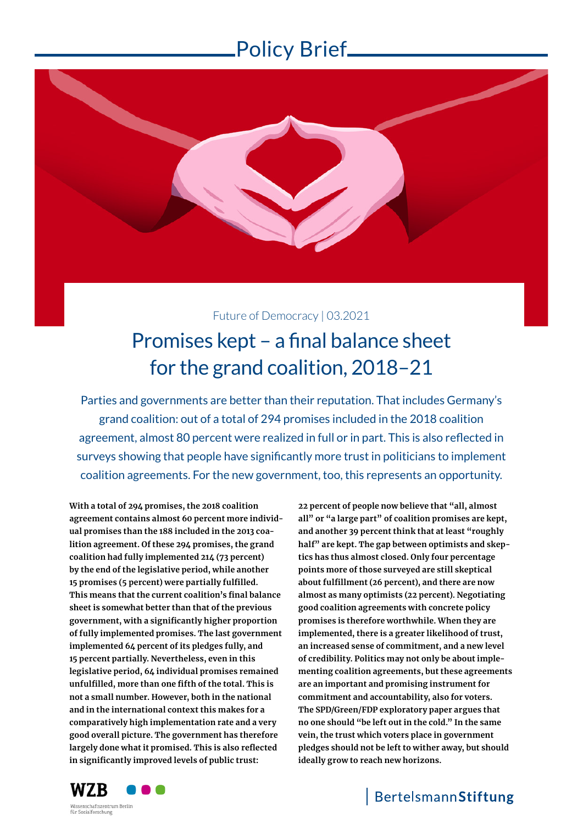

Future of Democracy | 03.2021

# Promises kept – a final balance sheet for the grand coalition, 2018–21

Parties and governments are better than their reputation. That includes Germany's grand coalition: out of a total of 294 promises included in the 2018 coalition agreement, almost 80 percent were realized in full or in part. This is also reflected in surveys showing that people have significantly more trust in politicians to implement coalition agreements. For the new government, too, this represents an opportunity.

**With a total of 294 promises, the 2018 coalition agreement contains almost 60 percent more individual promises than the 188 included in the 2013 coalition agreement. Of these 294 promises, the grand coalition had fully implemented 214 (73 percent) by the end of the legislative period, while another 15 promises (5 percent) were partially fulfilled. This means that the current coalition's final balance sheet is somewhat better than that of the previous government, with a significantly higher proportion of fully implemented promises. The last government implemented 64 percent of its pledges fully, and 15 percent partially. Nevertheless, even in this legislative period, 64 individual promises remained unfulfilled, more than one fifth of the total. This is not a small number. However, both in the national and in the international context this makes for a comparatively high implementation rate and a very good overall picture. The government has therefore largely done what it promised. This is also reflected in significantly improved levels of public trust:** 

**22 percent of people now believe that "all, almost all" or "a large part" of coalition promises are kept, and another 39 percent think that at least "roughly half" are kept. The gap between optimists and skeptics has thus almost closed. Only four percentage points more of those surveyed are still skeptical about fulfillment (26 percent), and there are now almost as many optimists (22 percent). Negotiating good coalition agreements with concrete policy promises is therefore worthwhile. When they are implemented, there is a greater likelihood of trust, an increased sense of commitment, and a new level of credibility. Politics may not only be about implementing coalition agreements, but these agreements are an important and promising instrument for commitment and accountability, also for voters. The SPD/Green/FDP exploratory paper argues that no one should "be left out in the cold." In the same vein, the trust which voters place in government pledges should not be left to wither away, but should ideally grow to reach new horizons.**



zialforschung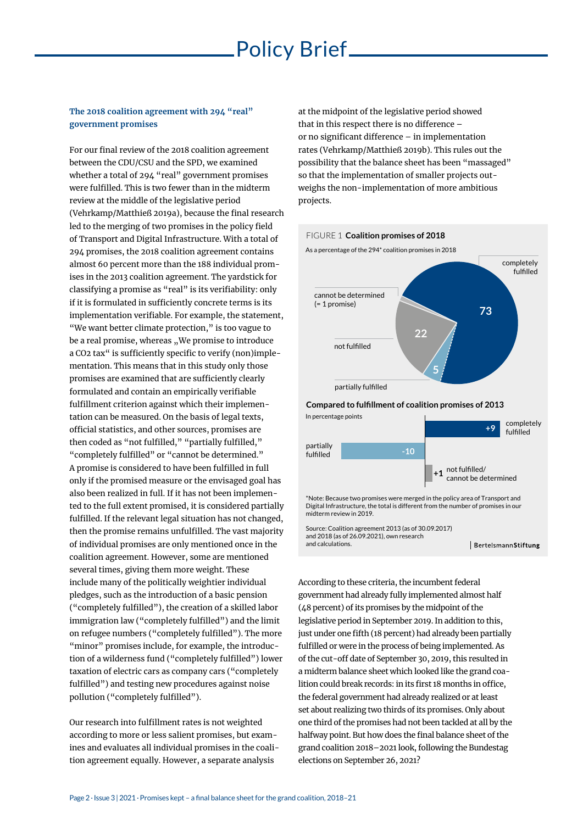### **The 2018 coalition agreement with 294 "real" government promises**

For our final review of the 2018 coalition agreement between the CDU/CSU and the SPD, we examined whether a total of 294 "real" government promises were fulfilled. This is two fewer than in the midterm review at the middle of the legislative period (Vehrkamp/Matthieß 2019a), because the final research led to the merging of two promises in the policy field of Transport and Digital Infrastructure. With a total of 294 promises, the 2018 coalition agreement contains almost 60 percent more than the 188 individual promises in the 2013 coalition agreement. The yardstick for classifying a promise as "real" is its verifiability: only if it is formulated in sufficiently concrete terms is its implementation verifiable. For example, the statement, "We want better climate protection," is too vague to be a real promise, whereas . We promise to introduce a CO2 tax" is sufficiently specific to verify (non)implementation. This means that in this study only those promises are examined that are sufficiently clearly formulated and contain an empirically verifiable fulfillment criterion against which their implementation can be measured. On the basis of legal texts, official statistics, and other sources, promises are then coded as "not fulfilled," "partially fulfilled," "completely fulfilled" or "cannot be determined." A promise is considered to have been fulfilled in full only if the promised measure or the envisaged goal has also been realized in full. If it has not been implemented to the full extent promised, it is considered partially fulfilled. If the relevant legal situation has not changed, then the promise remains unfulfilled. The vast majority of individual promises are only mentioned once in the coalition agreement. However, some are mentioned several times, giving them more weight. These include many of the politically weightier individual pledges, such as the introduction of a basic pension ("completely fulfilled"), the creation of a skilled labor immigration law ("completely fulfilled") and the limit on refugee numbers ("completely fulfilled"). The more "minor" promises include, for example, the introduction of a wilderness fund ("completely fulfilled") lower taxation of electric cars as company cars ("completely fulfilled") and testing new procedures against noise pollution ("completely fulfilled").

Our research into fulfillment rates is not weighted according to more or less salient promises, but examines and evaluates all individual promises in the coalition agreement equally. However, a separate analysis

at the midpoint of the legislative period showed that in this respect there is no difference – or no significant difference – in implementation rates (Vehrkamp/Matthieß 2019b). This rules out the possibility that the balance sheet has been "massaged" so that the implementation of smaller projects outweighs the non-implementation of more ambitious projects.



\*Note: Because two promises were merged in the policy area of Transport and Digital Infrastructure, the total is different from the number of promises in our midterm review in 2019.

BertelsmannStiftung

Source: Coalition agreement 2013 (as of 30.09.2017) and 2018 (as of 26.09.2021), own research and calculations.

According to these criteria, the incumbent federal government had already fully implemented almost half (48 percent) of its promises by the midpoint of the legislative period in September 2019. In addition to this, just under one fifth (18 percent) had already been partially fulfilled or were in the process of being implemented. As of the cut-off date of September 30, 2019, this resulted in a midterm balance sheet which looked like the grand coalition could break records: in its first 18 months in office, the federal government had already realized or at least set about realizing two thirds of its promises. Only about one third of the promises had not been tackled at all by the halfway point. But how does the final balance sheet of the grand coalition 2018–2021 look, following the Bundestag elections on September 26, 2021?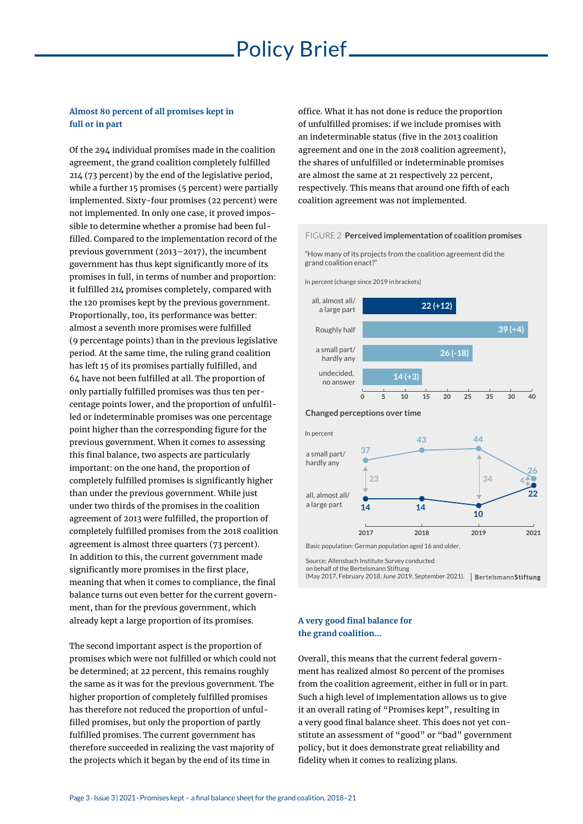### **Almost 80 percent of all promises kept in full or in part**

Of the 294 individual promises made in the coalition agreement, the grand coalition completely fulfilled 214 (73 percent) by the end of the legislative period, while a further 15 promises (5 percent) were partially implemented. Sixty-four promises (22 percent) were not implemented. In only one case, it proved impossible to determine whether a promise had been fulfilled. Compared to the implementation record of the previous government (2013–2017), the incumbent government has thus kept significantly more of its promises in full, in terms of number and proportion: it fulfilled 214 promises completely, compared with the 120 promises kept by the previous government. Proportionally, too, its performance was better: almost a seventh more promises were fulfilled (9 percentage points) than in the previous legislative period. At the same time, the ruling grand coalition has left 15 of its promises partially fulfilled, and 64 have not been fulfilled at all. The proportion of only partially fulfilled promises was thus ten percentage points lower, and the proportion of unfulfilled or indeterminable promises was one percentage point higher than the corresponding figure for the previous government. When it comes to assessing this final balance, two aspects are particularly important: on the one hand, the proportion of completely fulfilled promises is significantly higher than under the previous government. While just under two thirds of the promises in the coalition agreement of 2013 were fulfilled, the proportion of completely fulfilled promises from the 2018 coalition agreement is almost three quarters (73 percent). In addition to this, the current government made significantly more promises in the first place, meaning that when it comes to compliance, the final balance turns out even better for the current government, than for the previous government, which already kept a large proportion of its promises.

The second important aspect is the proportion of promises which were not fulfilled or which could not be determined; at 22 percent, this remains roughly the same as it was for the previous government. The higher proportion of completely fulfilled promises has therefore not reduced the proportion of unfulfilled promises, but only the proportion of partly fulfilled promises. The current government has therefore succeeded in realizing the vast majority of the projects which it began by the end of its time in

office. What it has not done is reduce the proportion of unfulfilled promises: if we include promises with an indeterminable status (five in the 2013 coalition agreement and one in the 2018 coalition agreement), the shares of unfulfilled or indeterminable promises are almost the same at 21 respectively 22 percent, respectively. This means that around one fifth of each coalition agreement was not implemented.

#### FIGURE 2 **Perceived implementation of coalition promises**

"How many of its projects from the coalition agreement did the grand coalition enact?"

In percent (change since 2019 in brackets)



Source: Allensbach Institute Survey conducted

on behalf of the Bertelsmann Stiftung

(May 2017, February 2018, June 2019, September 2021).

### **A very good final balance for the grand coalition…**

Overall, this means that the current federal government has realized almost 80 percent of the promises from the coalition agreement, either in full or in part. Such a high level of implementation allows us to give it an overall rating of "Promises kept", resulting in a very good final balance sheet. This does not yet constitute an assessment of "good" or "bad" government policy, but it does demonstrate great reliability and fidelity when it comes to realizing plans.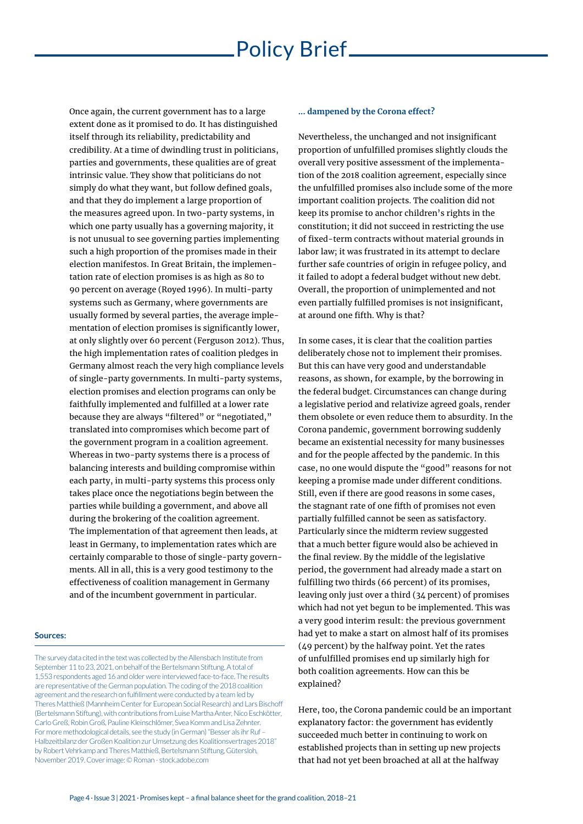Once again, the current government has to a large extent done as it promised to do. It has distinguished itself through its reliability, predictability and credibility. At a time of dwindling trust in politicians, parties and governments, these qualities are of great intrinsic value. They show that politicians do not simply do what they want, but follow defined goals, and that they do implement a large proportion of the measures agreed upon. In two-party systems, in which one party usually has a governing majority, it is not unusual to see governing parties implementing such a high proportion of the promises made in their election manifestos. In Great Britain, the implementation rate of election promises is as high as 80 to 90 percent on average (Royed 1996). In multi-party systems such as Germany, where governments are usually formed by several parties, the average implementation of election promises is significantly lower, at only slightly over 60 percent (Ferguson 2012). Thus, the high implementation rates of coalition pledges in Germany almost reach the very high compliance levels of single-party governments. In multi-party systems, election promises and election programs can only be faithfully implemented and fulfilled at a lower rate because they are always "filtered" or "negotiated," translated into compromises which become part of the government program in a coalition agreement. Whereas in two-party systems there is a process of balancing interests and building compromise within each party, in multi-party systems this process only takes place once the negotiations begin between the parties while building a government, and above all during the brokering of the coalition agreement. The implementation of that agreement then leads, at least in Germany, to implementation rates which are certainly comparable to those of single-party governments. All in all, this is a very good testimony to the effectiveness of coalition management in Germany and of the incumbent government in particular.

#### **Sources:**

The survey data cited in the text was collected by the Allensbach Institute from September 11 to 23, 2021, on behalf of the Bertelsmann Stiftung. A total of 1,553 respondents aged 16 and older were interviewed face-to-face. The results are representative of the German population. The coding of the 2018 coalition agreement and the research on fulfillment were conducted by a team led by Theres Matthieß (Mannheim Center for European Social Research) and Lars Bischoff (Bertelsmann Stiftung), with contributions from Luise Martha Anter, Nico Eschkötter, Carlo Greß, Robin Groß, Pauline Kleinschlömer, Svea Komm and Lisa Zehnter. For more methodological details, see the study (in German) "Besser als ihr Ruf – Halbzeitbilanz der Großen Koalition zur Umsetzung des Koalitionsvertrages 2018" by Robert Vehrkamp and Theres Matthieß, Bertelsmann Stiftung, Gütersloh, November 2019. Cover image: © Roman - stock.adobe.com

#### **... dampened by the Corona effect?**

Nevertheless, the unchanged and not insignificant proportion of unfulfilled promises slightly clouds the overall very positive assessment of the implementation of the 2018 coalition agreement, especially since the unfulfilled promises also include some of the more important coalition projects. The coalition did not keep its promise to anchor children's rights in the constitution; it did not succeed in restricting the use of fixed-term contracts without material grounds in labor law; it was frustrated in its attempt to declare further safe countries of origin in refugee policy, and it failed to adopt a federal budget without new debt. Overall, the proportion of unimplemented and not even partially fulfilled promises is not insignificant, at around one fifth. Why is that?

In some cases, it is clear that the coalition parties deliberately chose not to implement their promises. But this can have very good and understandable reasons, as shown, for example, by the borrowing in the federal budget. Circumstances can change during a legislative period and relativize agreed goals, render them obsolete or even reduce them to absurdity. In the Corona pandemic, government borrowing suddenly became an existential necessity for many businesses and for the people affected by the pandemic. In this case, no one would dispute the "good" reasons for not keeping a promise made under different conditions. Still, even if there are good reasons in some cases, the stagnant rate of one fifth of promises not even partially fulfilled cannot be seen as satisfactory. Particularly since the midterm review suggested that a much better figure would also be achieved in the final review. By the middle of the legislative period, the government had already made a start on fulfilling two thirds (66 percent) of its promises, leaving only just over a third (34 percent) of promises which had not yet begun to be implemented. This was a very good interim result: the previous government had yet to make a start on almost half of its promises (49 percent) by the halfway point. Yet the rates of unfulfilled promises end up similarly high for both coalition agreements. How can this be explained?

Here, too, the Corona pandemic could be an important explanatory factor: the government has evidently succeeded much better in continuing to work on established projects than in setting up new projects that had not yet been broached at all at the halfway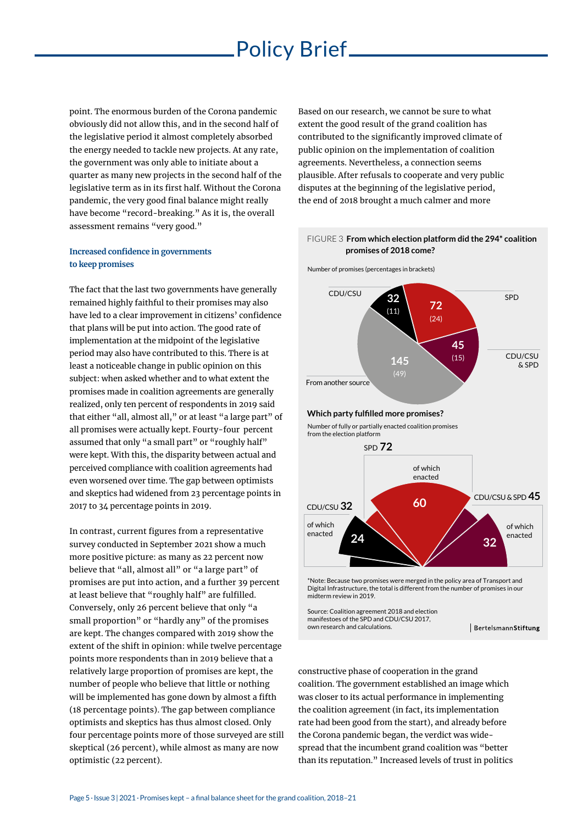point. The enormous burden of the Corona pandemic obviously did not allow this, and in the second half of the legislative period it almost completely absorbed the energy needed to tackle new projects. At any rate, the government was only able to initiate about a quarter as many new projects in the second half of the legislative term as in its first half. Without the Corona pandemic, the very good final balance might really have become "record-breaking." As it is, the overall assessment remains "very good."

### **Increased confidence in governments to keep promises**

The fact that the last two governments have generally remained highly faithful to their promises may also have led to a clear improvement in citizens' confidence that plans will be put into action. The good rate of implementation at the midpoint of the legislative period may also have contributed to this. There is at least a noticeable change in public opinion on this subject: when asked whether and to what extent the promises made in coalition agreements are generally realized, only ten percent of respondents in 2019 said that either "all, almost all," or at least "a large part" of all promises were actually kept. Fourty-four percent assumed that only "a small part" or "roughly half" were kept. With this, the disparity between actual and perceived compliance with coalition agreements had even worsened over time. The gap between optimists and skeptics had widened from 23 percentage points in 2017 to 34 percentage points in 2019.

In contrast, current figures from a representative survey conducted in September 2021 show a much more positive picture: as many as 22 percent now believe that "all, almost all" or "a large part" of promises are put into action, and a further 39 percent at least believe that "roughly half" are fulfilled. Conversely, only 26 percent believe that only "a small proportion" or "hardly any" of the promises are kept. The changes compared with 2019 show the extent of the shift in opinion: while twelve percentage points more respondents than in 2019 believe that a relatively large proportion of promises are kept, the number of people who believe that little or nothing will be implemented has gone down by almost a fifth (18 percentage points). The gap between compliance optimists and skeptics has thus almost closed. Only four percentage points more of those surveyed are still skeptical (26 percent), while almost as many are now optimistic (22 percent).

Based on our research, we cannot be sure to what extent the good result of the grand coalition has contributed to the significantly improved climate of public opinion on the implementation of coalition agreements. Nevertheless, a connection seems plausible. After refusals to cooperate and very public disputes at the beginning of the legislative period, the end of 2018 brought a much calmer and more



BertelsmannStiftung

constructive phase of cooperation in the grand coalition. The government established an image which was closer to its actual performance in implementing the coalition agreement (in fact, its implementation rate had been good from the start), and already before the Corona pandemic began, the verdict was widespread that the incumbent grand coalition was "better than its reputation." Increased levels of trust in politics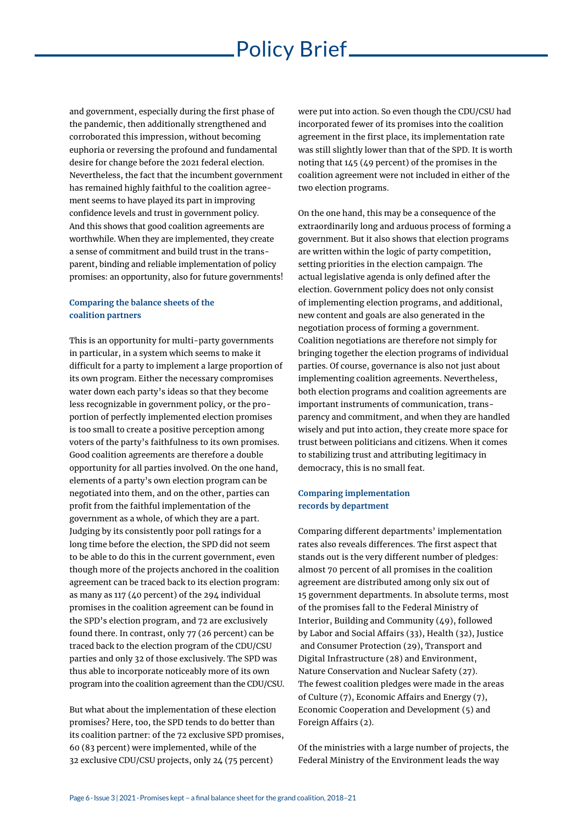and government, especially during the first phase of the pandemic, then additionally strengthened and corroborated this impression, without becoming euphoria or reversing the profound and fundamental desire for change before the 2021 federal election. Nevertheless, the fact that the incumbent government has remained highly faithful to the coalition agreement seems to have played its part in improving confidence levels and trust in government policy. And this shows that good coalition agreements are worthwhile. When they are implemented, they create a sense of commitment and build trust in the transparent, binding and reliable implementation of policy promises: an opportunity, also for future governments!

### **Comparing the balance sheets of the coalition partners**

This is an opportunity for multi-party governments in particular, in a system which seems to make it difficult for a party to implement a large proportion of its own program. Either the necessary compromises water down each party's ideas so that they become less recognizable in government policy, or the proportion of perfectly implemented election promises is too small to create a positive perception among voters of the party's faithfulness to its own promises. Good coalition agreements are therefore a double opportunity for all parties involved. On the one hand, elements of a party's own election program can be negotiated into them, and on the other, parties can profit from the faithful implementation of the government as a whole, of which they are a part. Judging by its consistently poor poll ratings for a long time before the election, the SPD did not seem to be able to do this in the current government, even though more of the projects anchored in the coalition agreement can be traced back to its election program: as many as 117 (40 percent) of the 294 individual promises in the coalition agreement can be found in the SPD's election program, and 72 are exclusively found there. In contrast, only 77 (26 percent) can be traced back to the election program of the CDU/CSU parties and only 32 of those exclusively. The SPD was thus able to incorporate noticeably more of its own program into the coalition agreement than the CDU/CSU.

But what about the implementation of these election promises? Here, too, the SPD tends to do better than its coalition partner: of the 72 exclusive SPD promises, 60 (83 percent) were implemented, while of the 32 exclusive CDU/CSU projects, only 24 (75 percent)

were put into action. So even though the CDU/CSU had incorporated fewer of its promises into the coalition agreement in the first place, its implementation rate was still slightly lower than that of the SPD. It is worth noting that 145 (49 percent) of the promises in the coalition agreement were not included in either of the two election programs.

On the one hand, this may be a consequence of the extraordinarily long and arduous process of forming a government. But it also shows that election programs are written within the logic of party competition, setting priorities in the election campaign. The actual legislative agenda is only defined after the election. Government policy does not only consist of implementing election programs, and additional, new content and goals are also generated in the negotiation process of forming a government. Coalition negotiations are therefore not simply for bringing together the election programs of individual parties. Of course, governance is also not just about implementing coalition agreements. Nevertheless, both election programs and coalition agreements are important instruments of communication, transparency and commitment, and when they are handled wisely and put into action, they create more space for trust between politicians and citizens. When it comes to stabilizing trust and attributing legitimacy in democracy, this is no small feat.

### **Comparing implementation records by department**

Comparing different departments' implementation rates also reveals differences. The first aspect that stands out is the very different number of pledges: almost 70 percent of all promises in the coalition agreement are distributed among only six out of 15 government departments. In absolute terms, most of the promises fall to the Federal Ministry of Interior, Building and Community (49), followed by Labor and Social Affairs (33), Health (32), Justice and Consumer Protection (29), Transport and Digital Infrastructure (28) and Environment, Nature Conservation and Nuclear Safety (27). The fewest coalition pledges were made in the areas of Culture (7), Economic Affairs and Energy (7), Economic Cooperation and Development (5) and Foreign Affairs (2).

Of the ministries with a large number of projects, the Federal Ministry of the Environment leads the way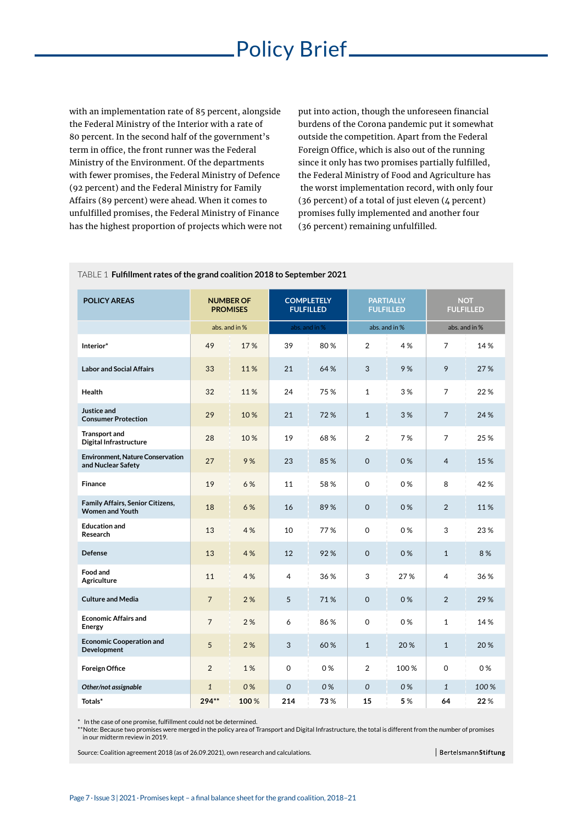with an implementation rate of 85 percent, alongside the Federal Ministry of the Interior with a rate of 80 percent. In the second half of the government's term in office, the front runner was the Federal Ministry of the Environment. Of the departments with fewer promises, the Federal Ministry of Defence (92 percent) and the Federal Ministry for Family Affairs (89 percent) were ahead. When it comes to unfulfilled promises, the Federal Ministry of Finance has the highest proportion of projects which were not put into action, though the unforeseen financial burdens of the Corona pandemic put it somewhat outside the competition. Apart from the Federal Foreign Office, which is also out of the running since it only has two promises partially fulfilled, the Federal Ministry of Food and Agriculture has the worst implementation record, with only four (36 percent) of a total of just eleven (4 percent) promises fully implemented and another four (36 percent) remaining unfulfilled.

| <b>POLICY AREAS</b>                                               | <b>NUMBER OF</b><br><b>PROMISES</b> |      | <b>COMPLETELY</b><br><b>FULFILLED</b> |      | <b>PARTIALLY</b><br><b>FULFILLED</b> |      | <b>NOT</b><br><b>FULFILLED</b> |      |
|-------------------------------------------------------------------|-------------------------------------|------|---------------------------------------|------|--------------------------------------|------|--------------------------------|------|
|                                                                   | abs. and in %                       |      | abs. and in %                         |      | abs. and in %                        |      | abs, and in %                  |      |
| Interior*                                                         | 49                                  | 17%  | 39                                    | 80%  | 2                                    | 4 %  | 7                              | 14 % |
| <b>Labor and Social Affairs</b>                                   | 33                                  | 11%  | 21                                    | 64 % | 3                                    | 9%   | 9                              | 27 % |
| Health                                                            | 32                                  | 11%  | 24                                    | 75%  | $\mathbf{1}$                         | 3%   | 7                              | 22%  |
| Justice and<br><b>Consumer Protection</b>                         | 29                                  | 10%  | 21                                    | 72%  | $\mathbf{1}$                         | 3%   | $\overline{7}$                 | 24 % |
| <b>Transport and</b><br><b>Digital Infrastructure</b>             | 28                                  | 10%  | 19                                    | 68%  | 2                                    | 7%   | 7                              | 25 % |
| <b>Environment, Nature Conservation</b><br>and Nuclear Safety     | 27                                  | 9%   | 23                                    | 85%  | $\mathbf 0$                          | 0%   | $\overline{4}$                 | 15 % |
| <b>Finance</b>                                                    | 19                                  | 6%   | 11                                    | 58%  | 0                                    | 0%   | 8                              | 42%  |
| <b>Family Affairs, Senior Citizens,</b><br><b>Women and Youth</b> | 18                                  | 6 %  | 16                                    | 89%  | $\Omega$                             | 0%   | $\overline{2}$                 | 11%  |
| <b>Education and</b><br>Research                                  | 13                                  | 4%   | 10                                    | 77%  | 0                                    | 0%   | 3                              | 23%  |
| <b>Defense</b>                                                    | 13                                  | 4 %  | 12                                    | 92%  | $\Omega$                             | 0%   | $\mathbf{1}$                   | 8%   |
| Food and<br>Agriculture                                           | 11                                  | 4%   | 4                                     | 36 % | 3                                    | 27%  | 4                              | 36 % |
| <b>Culture and Media</b>                                          | $\overline{7}$                      | 2%   | 5                                     | 71%  | $\Omega$                             | 0%   | $\overline{2}$                 | 29 % |
| <b>Economic Affairs and</b><br><b>Energy</b>                      | $\overline{7}$                      | 2%   | 6                                     | 86%  | $\Omega$                             | 0 %  | $\mathbf{1}$                   | 14 % |
| <b>Economic Cooperation and</b><br>Development                    | 5                                   | 2%   | 3                                     | 60%  | $\mathbf{1}$                         | 20%  | $\mathbf{1}$                   | 20%  |
| <b>Foreign Office</b>                                             | $\overline{2}$                      | 1%   | 0                                     | 0%   | 2                                    | 100% | 0                              | 0%   |
| Other/not assignable                                              | $\overline{1}$                      | 0%   | $\Omega$                              | 0%   | $\Omega$                             | 0%   | $\mathbf{1}$                   | 100% |
| Totals*                                                           | 294**                               | 100% | 214                                   | 73%  | 15                                   | 5 %  | 64                             | 22%  |

#### TABLE 1 **Fulfillment rates of the grand coalition 2018 to September 2021**

\* In the case of one promise, fulfillment could not be determined.

\*\* Note: Because two promises were merged in the policy area of Transport and Digital Infrastructure, the total is different from the number of promises in our midterm review in 2019.

Source: Coalition agreement 2018 (as of 26.09.2021), own research and calculations.

BertelsmannStiftung